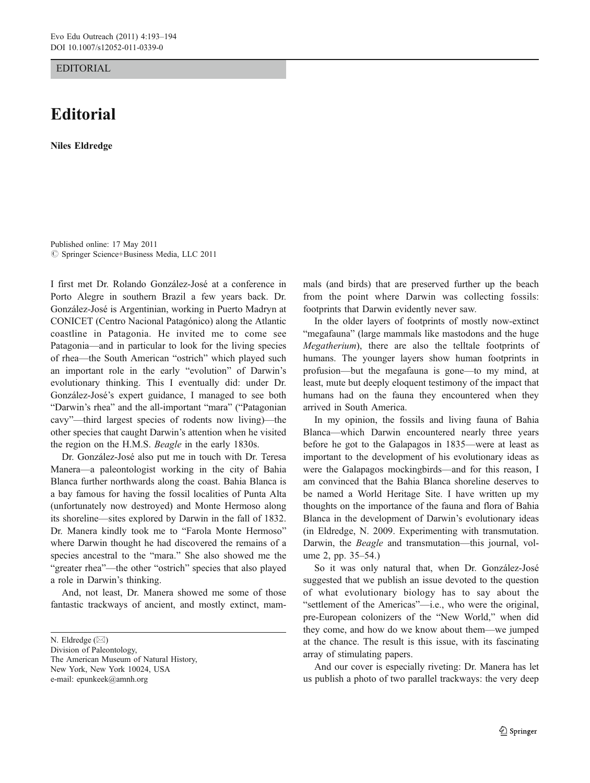EDITORIAL

## **Editorial**

Niles Eldredge

Published online: 17 May 2011  $©$  Springer Science+Business Media, LLC 2011

I first met Dr. Rolando González-José at a conference in Porto Alegre in southern Brazil a few years back. Dr. González-José is Argentinian, working in Puerto Madryn at CONICET (Centro Nacional Patagónico) along the Atlantic coastline in Patagonia. He invited me to come see Patagonia—and in particular to look for the living species of rhea—the South American "ostrich" which played such an important role in the early "evolution" of Darwin's evolutionary thinking. This I eventually did: under Dr. González-José's expert guidance, I managed to see both "Darwin's rhea" and the all-important "mara" ("Patagonian cavy"—third largest species of rodents now living)—the other species that caught Darwin's attention when he visited the region on the H.M.S. Beagle in the early 1830s.

Dr. González-José also put me in touch with Dr. Teresa Manera—a paleontologist working in the city of Bahia Blanca further northwards along the coast. Bahia Blanca is a bay famous for having the fossil localities of Punta Alta (unfortunately now destroyed) and Monte Hermoso along its shoreline—sites explored by Darwin in the fall of 1832. Dr. Manera kindly took me to "Farola Monte Hermoso" where Darwin thought he had discovered the remains of a species ancestral to the "mara." She also showed me the "greater rhea"—the other "ostrich" species that also played a role in Darwin's thinking.

And, not least, Dr. Manera showed me some of those fantastic trackways of ancient, and mostly extinct, mam-

Division of Paleontology,

The American Museum of Natural History, New York, New York 10024, USA e-mail: epunkeek@amnh.org

mals (and birds) that are preserved further up the beach from the point where Darwin was collecting fossils: footprints that Darwin evidently never saw.

In the older layers of footprints of mostly now-extinct "megafauna" (large mammals like mastodons and the huge Megatherium), there are also the telltale footprints of humans. The younger layers show human footprints in profusion—but the megafauna is gone—to my mind, at least, mute but deeply eloquent testimony of the impact that humans had on the fauna they encountered when they arrived in South America.

In my opinion, the fossils and living fauna of Bahia Blanca—which Darwin encountered nearly three years before he got to the Galapagos in 1835—were at least as important to the development of his evolutionary ideas as were the Galapagos mockingbirds—and for this reason, I am convinced that the Bahia Blanca shoreline deserves to be named a World Heritage Site. I have written up my thoughts on the importance of the fauna and flora of Bahia Blanca in the development of Darwin's evolutionary ideas (in Eldredge, N. 2009. Experimenting with transmutation. Darwin, the Beagle and transmutation—this journal, volume 2, pp. 35–54.)

So it was only natural that, when Dr. González-José suggested that we publish an issue devoted to the question of what evolutionary biology has to say about the "settlement of the Americas"—i.e., who were the original, pre-European colonizers of the "New World," when did they come, and how do we know about them—we jumped at the chance. The result is this issue, with its fascinating array of stimulating papers.

And our cover is especially riveting: Dr. Manera has let us publish a photo of two parallel trackways: the very deep

N. Eldredge  $(\boxtimes)$